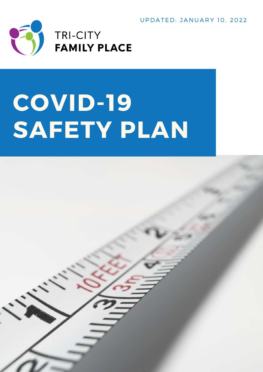U P D A T E D: J A N U A R Y 10, 2022



# **COVID-19 SAFETY PLAN**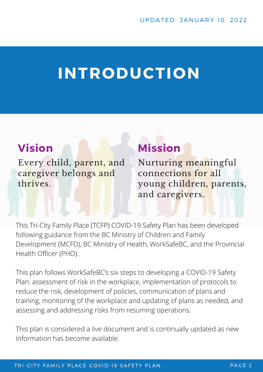## **INTRODUCTION**

### **Vision**

Every child, parent, and caregiver belongs and thrives.

### **Mission**

Nurturing meaningful connections for all young children, parents, and caregivers.

This Tri-City Family Place (TCFP) COVID-19 Safety Plan has been developed following guidance from the BC Ministry of Children and Family Development (MCFD), BC Ministry of Health, WorkSafeBC, and the Provincial Health Officer (PHO).

This plan follows WorkSafeBC's six steps to developing a COVID-19 Safety Plan: assessment of risk in the workplace, implementation of protocols to reduce the risk, development of policies, communication of plans and training, monitoring of the workplace and updating of plans as needed, and assessing and addressing risks from resuming operations.

This plan is considered a live document and is continually updated as new information has become available.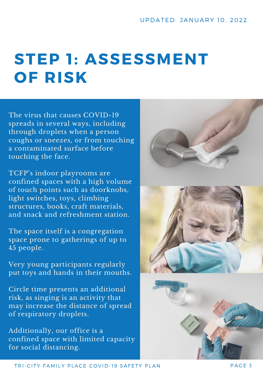## **STEP 1: ASSESSMENT OF RISK**

The virus that causes COVID-19 spreads in several ways, including through droplets when a person coughs or sneezes, or from touching a contaminated surface before touching the face.

TCFP's indoor playrooms are confined spaces with a high volume of touch points such as doorknobs, light switches, toys, climbing structures, books, craft materials, and snack and refreshment station.

The space itself is a congregation space prone to gatherings of up to 45 people.

Very young participants regularly put toys and hands in their mouths.

Circle time presents an additional risk, as singing is an activity that may increase the distance of spread of respiratory droplets.

Additionally, our office is a confined space with limited capacity for social distancing.



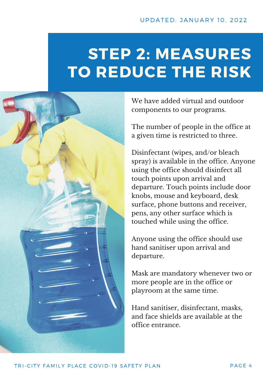## **STEP 2: MEASURES TO REDUCE THE RISK**



We have added virtual and outdoor components to our programs.

The number of people in the office at a given time is restricted to three.

Disinfectant (wipes, and/or bleach spray) is available in the office. Anyone using the office should disinfect all touch points upon arrival and departure. Touch points include door knobs, mouse and keyboard, desk surface, phone buttons and receiver, pens, any other surface which is touched while using the office.

Anyone using the office should use hand sanitiser upon arrival and departure.

Mask are mandatory whenever two or more people are in the office or playroom at the same time.

Hand sanitiser, disinfectant, masks, and face shields are available at the office entrance.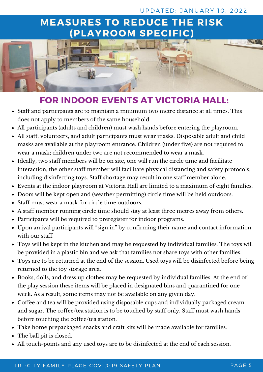#### UPDATED: JANUARY 10, 2022

### **MEASURES TO REDUCE THE RISK (PLAYROOM SPECIFIC)**



### **FOR INDOOR EVENTS AT VICTORIA HALL:**

- Staff and participants are to maintain a minimum two metre distance at all times. This does not apply to members of the same household.
- All participants (adults and children) must wash hands before entering the playroom.
- All staff, volunteers, and adult participants must wear masks. Disposable adult and child masks are available at the playroom entrance. Children (under five) are not required to wear a mask; children under two are not recommended to wear a mask.
- Ideally, two staff members will be on site, one will run the circle time and facilitate interaction, the other staff member will facilitate physical distancing and safety protocols, including disinfecting toys. Staff shortage may result in one staff member alone.
- Events at the indoor playroom at Victoria Hall are limited to a maximum of eight families.
- Doors will be kept open and (weather permitting) circle time will be held outdoors.
- Staff must wear a mask for circle time outdoors.
- A staff member running circle time should stay at least three metres away from others.
- Participants will be required to preregister for indoor programs.
- Upon arrival participants will "sign in" by confirming their name and contact information with our staff.
- Toys will be kept in the kitchen and may be requested by individual families. The toys will be provided in a plastic bin and we ask that families not share toys with other families.
- Toys are to be returned at the end of the session. Used toys will be disinfected before being returned to the toy storage area.
- Books, dolls, and dress up clothes may be requested by individual families. At the end of the play session these items will be placed in designated bins and quarantined for one week. As a result, some items may not be available on any given day.
- Coffee and tea will be provided using disposable cups and individually packaged cream and sugar. The coffee/tea station is to be touched by staff only. Staff must wash hands before touching the coffee/tea station.
- Take home prepackaged snacks and craft kits will be made available for families.
- The ball pit is closed.
- All touch-points and any used toys are to be disinfected at the end of each session.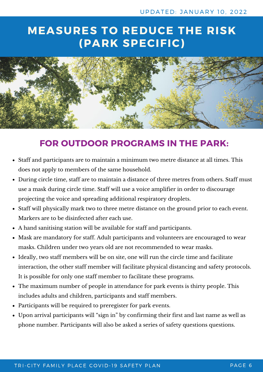### **MEASURES TO REDUCE THE RISK (PARK SPECIFIC)**



### **FOR OUTDOOR PROGRAMS IN THE PARK:**

- Staff and participants are to maintain a minimum two metre distance at all times. This does not apply to members of the same household.
- During circle time, staff are to maintain a distance of three metres from others. Staff must use a mask during circle time. Staff will use a voice amplifier in order to discourage projecting the voice and spreading additional respiratory droplets.
- Staff will physically mark two to three metre distance on the ground prior to each event. Markers are to be disinfected after each use.
- A hand sanitising station will be available for staff and participants.
- Mask are mandatory for staff. Adult participants and volunteers are encouraged to wear masks. Children under two years old are not recommended to wear masks.
- Ideally, two staff members will be on site, one will run the circle time and facilitate interaction, the other staff member will facilitate physical distancing and safety protocols. It is possible for only one staff member to facilitate these programs.
- The maximum number of people in attendance for park events is thirty people. This includes adults and children, participants and staff members.
- Participants will be required to preregister for park events.
- Upon arrival participants will "sign in" by confirming their first and last name as well as phone number. Participants will also be asked a series of safety questions questions.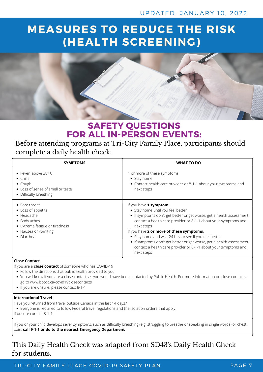### **MEASURES TO REDUCE THE RISK (HEALTH SCREENING)**



### **SAFETY QUESTIONS FOR ALL IN-PERSON EVENTS:**

#### Before attending programs at Tri-City Family Place, participants should complete a daily health check:

| <b>SYMPTOMS</b>                                                                                                                                                   | <b>WHAT TO DO</b>                                                                                                                                                                                                                                                                                                                                                                                                                                                                     |
|-------------------------------------------------------------------------------------------------------------------------------------------------------------------|---------------------------------------------------------------------------------------------------------------------------------------------------------------------------------------------------------------------------------------------------------------------------------------------------------------------------------------------------------------------------------------------------------------------------------------------------------------------------------------|
| • Fever (above $38^{\circ}$ C<br>$\bullet$ Chills<br>• Cough<br>• Loss of sense of smell or taste<br>• Difficulty breathing                                       | 1 or more of these symptoms:<br>$\bullet$ Stay home<br>• Contact health care provider or 8-1-1 about your symptoms and<br>next steps                                                                                                                                                                                                                                                                                                                                                  |
| $\bullet$ Sore throat<br>• Loss of appetite<br>$\bullet$ Headache<br>• Body aches<br>• Extreme fatigue or tiredness<br>• Nausea or vomiting<br>$\bullet$ Diarrhea | If you have 1 symptom:<br>• Stay home until you feel better<br>• If symptoms don't get better or get worse, get a health assessment;<br>contact a health care provider or 8-1-1 about your symptoms and<br>next steps<br>If you have 2 or more of these symptoms:<br>• Stay home and wait 24 hrs. to see if you feel better<br>• If symptoms don't get better or get worse, get a health assessment;<br>contact a health care provider or 8-1-1 about your symptoms and<br>next steps |

#### **Close Contact**

If you are a **close contact** of someone who has COVID-19

- Follow the directions that public health provided to you
- You will know if you are a close contact, as you would have been contacted by Public Health. For more information on close contacts, go to www.bccdc.ca/covid19closecontacts
- If you are unsure, please contact 8-1-1

#### **International Travel**

Have you returned from travel outside Canada in the last 14 days?

- Everyone is required to follow Federal travel regulations and the isolation orders that apply.
- If unsure contact 8-1-1

If you or your child develops sever symptoms, such as difficulty breathing (e.g. struggling to breathe or speaking in single words) or chest pain, **call 9-1-1 or do to the nearest Emergency Department**

#### This Daily Health Check was adapted from SD43's Daily Health Check for students.

TRI-CITY FAMILY PLACE COVID-19 SAFETY PLAN THE RESERVED ON A RESERT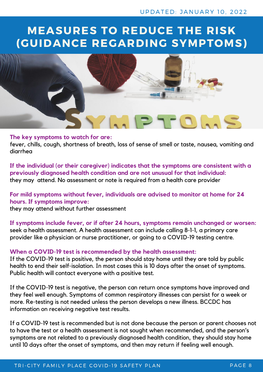### **MEASURES TO REDUCE THE RISK (GUIDANCE REGARDING SYMPTOMS)**



#### **The key symptoms to watch for are:**

fever, chills, cough, shortness of breath, loss of sense of smell or taste, nausea, vomiting and diarrhea

**If the individual (or their caregiver) indicates that the symptoms are consistent with a previously diagnosed health condition and are not unusual for that individual:** they may attend. No assessment or note is required from a health care provider

#### **For mild symptoms without fever, individuals are advised to monitor at home for 24 hours. If symptoms improve:**

they may attend without further assessment

**If symptoms include fever, or if after 24 hours, symptoms remain unchanged or worsen:** seek a health assessment. A health assessment can include calling 8-1-1, a primary care provider like a physician or nurse practitioner, or going to a COVID-19 testing centre.

#### **When a COVID-19 test is recommended by the health assessment:**

If the COVID-19 test is positive, the person should stay home until they are told by public health to end their self-isolation. In most cases this is 10 days after the onset of symptoms. Public health will contact everyone with a positive test.

If the COVID-19 test is negative, the person can return once symptoms have improved and they feel well enough. Symptoms of common respiratory illnesses can persist for a week or more. Re-testing is not needed unless the person develops a new illness. BCCDC has information on receiving negative test results.

If a COVID-19 test is recommended but is not done because the person or parent chooses not to have the test or a health assessment is not sought when recommended, and the person's symptoms are not related to a previously diagnosed health condition, they should stay home until 10 days after the onset of symptoms, and then may return if feeling well enough.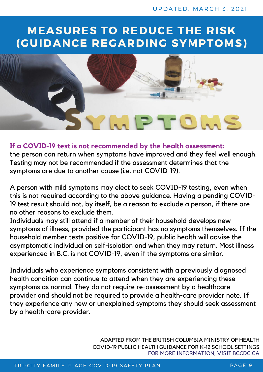### **MEASURES TO REDUCE THE RISK (GUIDANCE REGARDING SYMPTOMS)**



#### **If a COVID-19 test is not recommended by the health assessment:**

the person can return when symptoms have improved and they feel well enough. Testing may not be recommended if the assessment determines that the symptoms are due to another cause (i.e. not COVID-19).

A person with mild symptoms may elect to seek COVID-19 testing, even when this is not required according to the above guidance. Having a pending COVID-19 test result should not, by itself, be a reason to exclude a person, if there are no other reasons to exclude them.

Individuals may still attend if a member of their household develops new symptoms of illness, provided the participant has no symptoms themselves. If the household member tests positive for COVID-19, public health will advise the asymptomatic individual on self-isolation and when they may return. Most illness experienced in B.C. is not COVID-19, even if the symptoms are similar.

Individuals who experience symptoms consistent with a previously diagnosed health condition can continue to attend when they are experiencing these symptoms as normal. They do not require re-assessment by a healthcare provider and should not be required to provide a health-care provider note. If they experience any new or unexplained symptoms they should seek assessment by a health-care provider.

> FOR MORE INFORMATION, VISIT BCCDC.CA COVID-19 PUBLIC HEALTH GUIDANCE FOR K-12 SCHOOL SETTINGS ADAPTED FROM THE BRITISH COLUMBIA MINISTRY OF HEALTH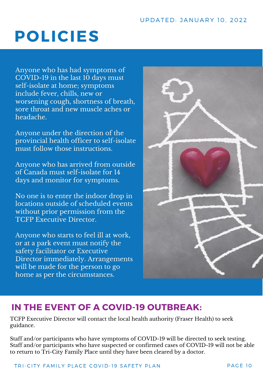## **POLICIES**

Anyone who has had symptoms of COVID-19 in the last 10 days must self-isolate at home; symptoms include fever, chills, new or worsening cough, shortness of breath, sore throat and new muscle aches or headache.

Anyone under the direction of the provincial health officer to self-isolate must follow those instructions.

Anyone who has arrived from outside of Canada must self-isolate for 14 days and monitor for symptoms.

No one is to enter the indoor drop in locations outside of scheduled events without prior permission from the TCFP Executive Director.

Anyone who starts to feel ill at work, or at a park event must notify the safety facilitator or Executive Director immediately. Arrangements will be made for the person to go home as per the circumstances.



### **IN THE EVENT OF A COVID-19 OUTBREAK:**

TCFP Executive Director will contact the local health authority (Fraser Health) to seek guidance.

Staff and/or participants who have symptoms of COVID-19 will be directed to seek testing. Staff and/or participants who have suspected or confirmed cases of COVID-19 will not be able to return to Tri-City Family Place until they have been cleared by a doctor.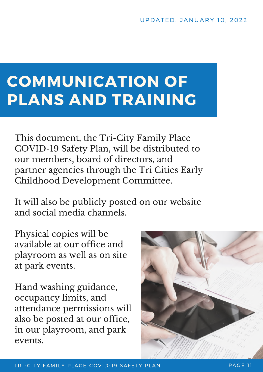## **COMMUNICATION OF PLANS AND TRAINING**

This document, the Tri-City Family Place COVID-19 Safety Plan, will be distributed to our members, board of directors, and partner agencies through the Tri Cities Early Childhood Development Committee.

It will also be publicly posted on our website and social media channels.

Physical copies will be available at our office and playroom as well as on site at park events.

Hand washing guidance, occupancy limits, and attendance permissions will also be posted at our office, in our playroom, and park events.

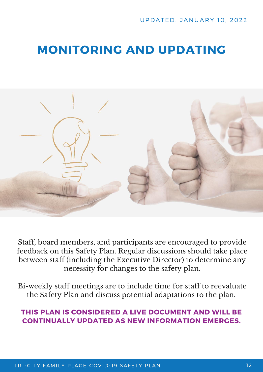### **MONITORING AND UPDATING**



Staff, board members, and participants are encouraged to provide feedback on this Safety Plan. Regular discussions should take place between staff (including the Executive Director) to determine any necessity for changes to the safety plan.

Bi-weekly staff meetings are to include time for staff to reevaluate the Safety Plan and discuss potential adaptations to the plan.

#### **THIS PLAN IS CONSIDERED A LIVE DOCUMENT AND WILL BE CONTINUALLY UPDATED AS NEW INFORMATION EMERGES.**